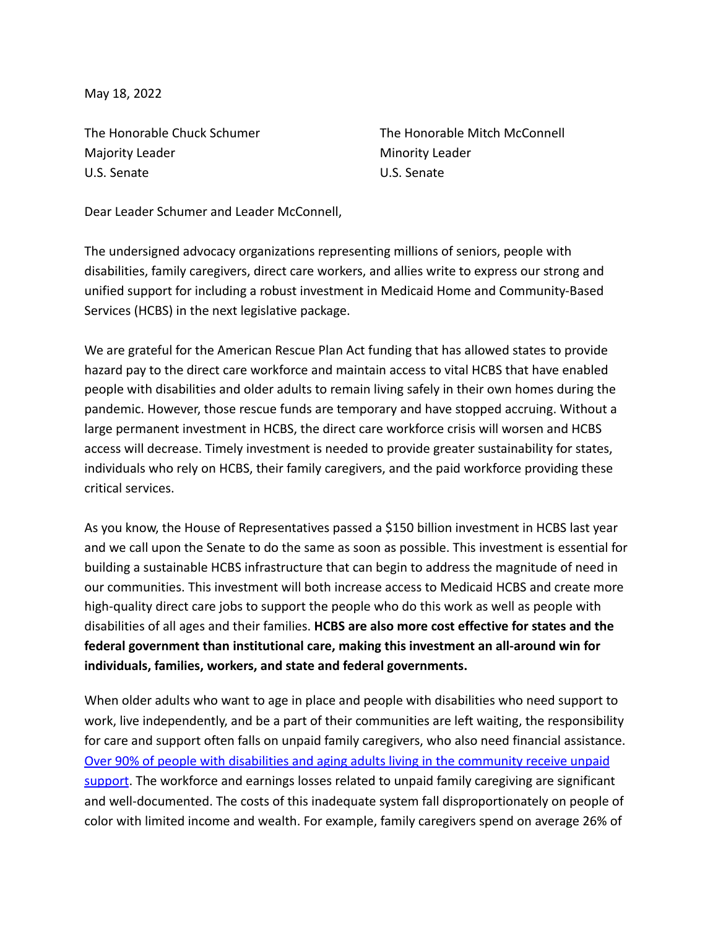May 18, 2022

Majority Leader **Minority Leader** Minority Leader U.S. Senate U.S. Senate

The Honorable Chuck Schumer The Honorable Mitch McConnell

Dear Leader Schumer and Leader McConnell,

The undersigned advocacy organizations representing millions of seniors, people with disabilities, family caregivers, direct care workers, and allies write to express our strong and unified support for including a robust investment in Medicaid Home and Community-Based Services (HCBS) in the next legislative package.

We are grateful for the American Rescue Plan Act funding that has allowed states to provide hazard pay to the direct care workforce and maintain access to vital HCBS that have enabled people with disabilities and older adults to remain living safely in their own homes during the pandemic. However, those rescue funds are temporary and have stopped accruing. Without a large permanent investment in HCBS, the direct care workforce crisis will worsen and HCBS access will decrease. Timely investment is needed to provide greater sustainability for states, individuals who rely on HCBS, their family caregivers, and the paid workforce providing these critical services.

As you know, the House of Representatives passed a \$150 billion investment in HCBS last year and we call upon the Senate to do the same as soon as possible. This investment is essential for building a sustainable HCBS infrastructure that can begin to address the magnitude of need in our communities. This investment will both increase access to Medicaid HCBS and create more high-quality direct care jobs to support the people who do this work as well as people with disabilities of all ages and their families. **HCBS are also more cost effective for states and the federal government than institutional care, making this investment an all-around win for individuals, families, workers, and state and federal governments.**

When older adults who want to age in place and people with disabilities who need support to work, live independently, and be a part of their communities are left waiting, the responsibility for care and support often falls on unpaid family caregivers, who also need financial assistance. [Over 90% of people with disabilities and aging adults living in the community receive unpaid](https://heller.brandeis.edu/community-living-policy/images/reducing-cost-hcbs.pdf) [support](https://heller.brandeis.edu/community-living-policy/images/reducing-cost-hcbs.pdf). The workforce and earnings losses related to unpaid family caregiving are significant and well-documented. The costs of this inadequate system fall disproportionately on people of color with limited income and wealth. For example, family caregivers spend on average 26% of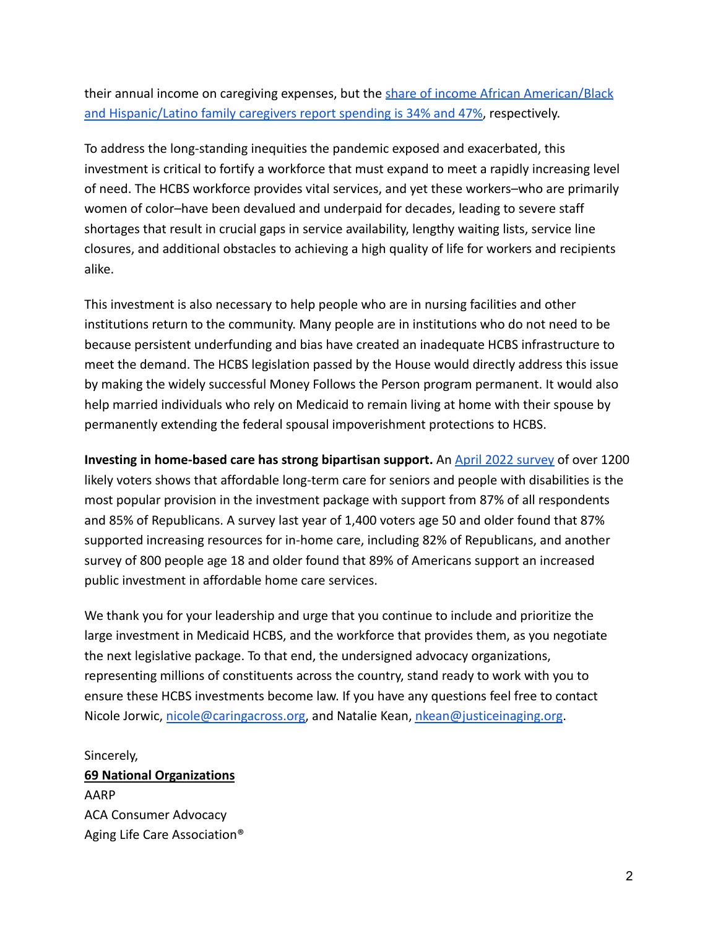their annual income on caregiving expenses, but the [share of income African American/Black](https://heller.brandeis.edu/community-living-policy/images/reducing-cost-hcbs.pdf) [and Hispanic/Latino family caregivers report spending is 34% and 47%,](https://heller.brandeis.edu/community-living-policy/images/reducing-cost-hcbs.pdf) respectively.

To address the long-standing inequities the pandemic exposed and exacerbated, this investment is critical to fortify a workforce that must expand to meet a rapidly increasing level of need. The HCBS workforce provides vital services, and yet these workers–who are primarily women of color–have been devalued and underpaid for decades, leading to severe staff shortages that result in crucial gaps in service availability, lengthy waiting lists, service line closures, and additional obstacles to achieving a high quality of life for workers and recipients alike.

This investment is also necessary to help people who are in nursing facilities and other institutions return to the community. Many people are in institutions who do not need to be because persistent underfunding and bias have created an inadequate HCBS infrastructure to meet the demand. The HCBS legislation passed by the House would directly address this issue by making the widely successful Money Follows the Person program permanent. It would also help married individuals who rely on Medicaid to remain living at home with their spouse by permanently extending the federal spousal impoverishment protections to HCBS.

**Investing in home-based care has strong bipartisan support.** An [April 2022 survey](https://www.dataforprogress.org/blog/2022/5/3/voters-coverwhelmingly-support-bidens-investment-package) of over 1200 likely voters shows that affordable long-term care for seniors and people with disabilities is the most popular provision in the investment package with support from 87% of all respondents and 85% of Republicans. A survey last year of 1,400 voters age 50 and older found that 87% supported increasing resources for in-home care, including 82% of Republicans, and another survey of 800 people age 18 and older found that 89% of Americans support an increased public investment in affordable home care services.

We thank you for your leadership and urge that you continue to include and prioritize the large investment in Medicaid HCBS, and the workforce that provides them, as you negotiate the next legislative package. To that end, the undersigned advocacy organizations, representing millions of constituents across the country, stand ready to work with you to ensure these HCBS investments become law. If you have any questions feel free to contact Nicole Jorwic, [nicole@caringacross.org,](mailto:nicole@caringacross.org) and Natalie Kean, [nkean@justiceinaging.org](mailto:nkean@justiceinaging.org).

Sincerely,

**69 National Organizations** AARP ACA Consumer Advocacy Aging Life Care Association®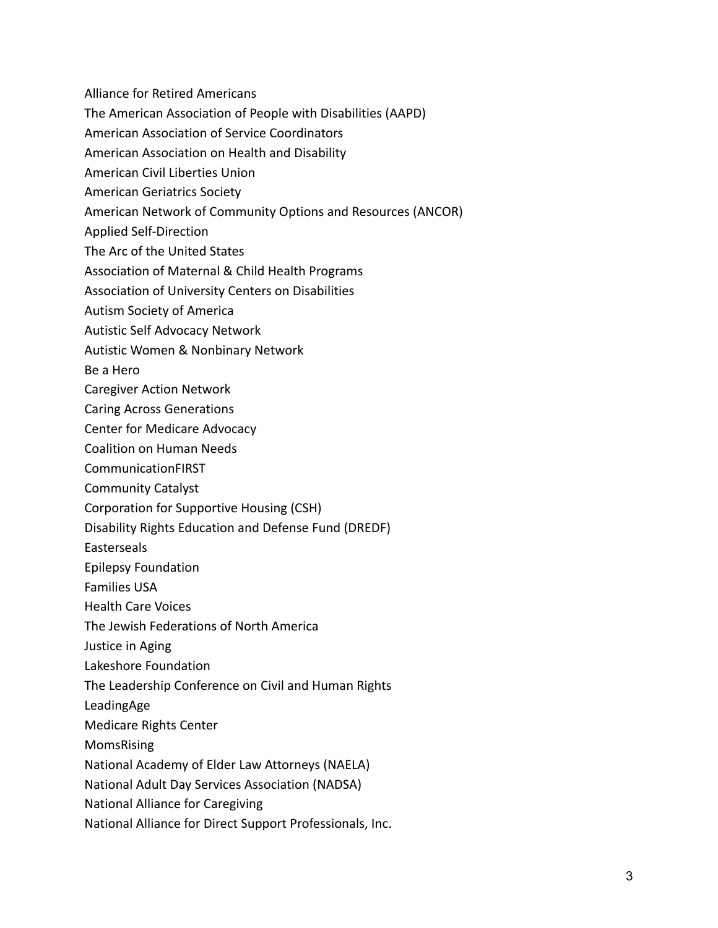- Alliance for Retired Americans
- The American Association of People with Disabilities (AAPD)
- American Association of Service Coordinators
- American Association on Health and Disability
- American Civil Liberties Union
- American Geriatrics Society
- American Network of Community Options and Resources (ANCOR)
- Applied Self-Direction
- The Arc of the United States
- Association of Maternal & Child Health Programs
- Association of University Centers on Disabilities
- Autism Society of America
- Autistic Self Advocacy Network
- Autistic Women & Nonbinary Network
- Be a Hero
- Caregiver Action Network
- Caring Across Generations
- Center for Medicare Advocacy
- Coalition on Human Needs
- CommunicationFIRST
- Community Catalyst
- Corporation for Supportive Housing (CSH)
- Disability Rights Education and Defense Fund (DREDF)
- Easterseals
- Epilepsy Foundation
- Families USA
- Health Care Voices
- The Jewish Federations of North America
- Justice in Aging
- Lakeshore Foundation
- The Leadership Conference on Civil and Human Rights
- LeadingAge
- Medicare Rights Center
- MomsRising
- National Academy of Elder Law Attorneys (NAELA)
- National Adult Day Services Association (NADSA)
- National Alliance for Caregiving
- National Alliance for Direct Support Professionals, Inc.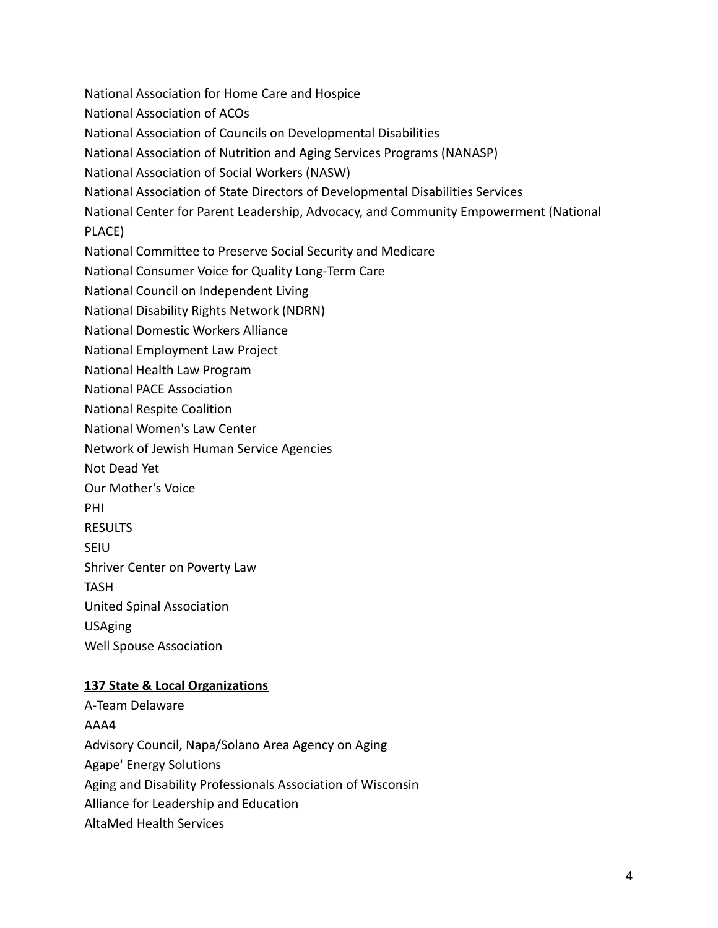National Association for Home Care and Hospice National Association of ACOs National Association of Councils on Developmental Disabilities National Association of Nutrition and Aging Services Programs (NANASP) National Association of Social Workers (NASW) National Association of State Directors of Developmental Disabilities Services National Center for Parent Leadership, Advocacy, and Community Empowerment (National PLACE) National Committee to Preserve Social Security and Medicare National Consumer Voice for Quality Long-Term Care National Council on Independent Living National Disability Rights Network (NDRN) National Domestic Workers Alliance National Employment Law Project National Health Law Program National PACE Association National Respite Coalition National Women's Law Center Network of Jewish Human Service Agencies Not Dead Yet Our Mother's Voice PHI RESULTS SEIU Shriver Center on Poverty Law TASH United Spinal Association USAging Well Spouse Association **137 State & Local Organizations**

A-Team Delaware AAA4 Advisory Council, Napa/Solano Area Agency on Aging Agape' Energy Solutions Aging and Disability Professionals Association of Wisconsin Alliance for Leadership and Education AltaMed Health Services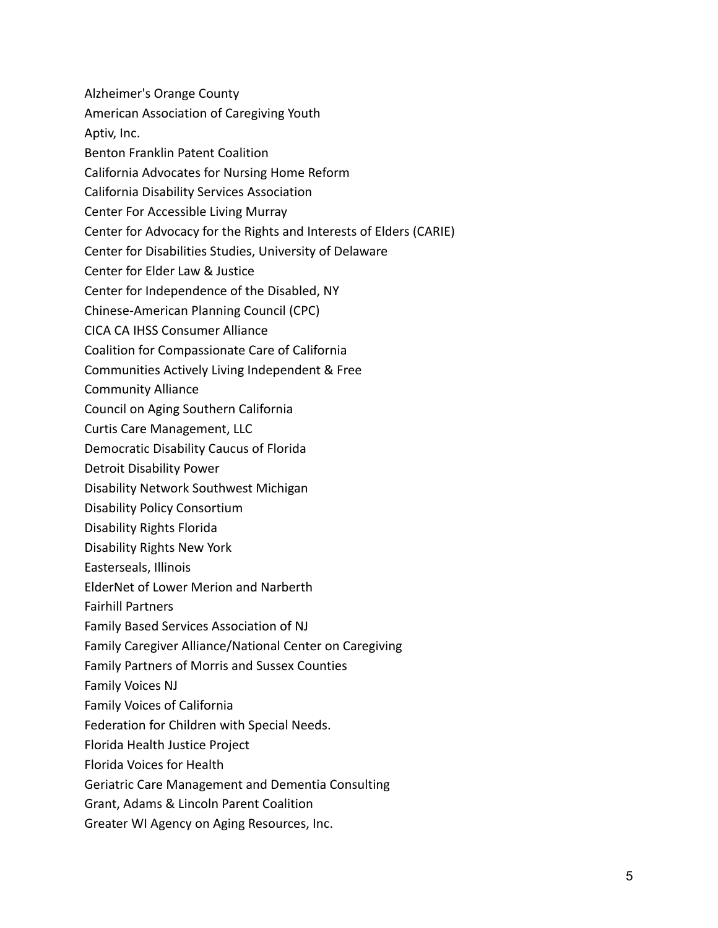Alzheimer's Orange County American Association of Caregiving Youth Aptiv, Inc. Benton Franklin Patent Coalition California Advocates for Nursing Home Reform California Disability Services Association Center For Accessible Living Murray Center for Advocacy for the Rights and Interests of Elders (CARIE) Center for Disabilities Studies, University of Delaware Center for Elder Law & Justice Center for Independence of the Disabled, NY Chinese-American Planning Council (CPC) CICA CA IHSS Consumer Alliance Coalition for Compassionate Care of California Communities Actively Living Independent & Free Community Alliance Council on Aging Southern California Curtis Care Management, LLC Democratic Disability Caucus of Florida Detroit Disability Power Disability Network Southwest Michigan Disability Policy Consortium Disability Rights Florida Disability Rights New York Easterseals, Illinois ElderNet of Lower Merion and Narberth Fairhill Partners Family Based Services Association of NJ Family Caregiver Alliance/National Center on Caregiving Family Partners of Morris and Sussex Counties Family Voices NJ Family Voices of California Federation for Children with Special Needs. Florida Health Justice Project Florida Voices for Health Geriatric Care Management and Dementia Consulting Grant, Adams & Lincoln Parent Coalition Greater WI Agency on Aging Resources, Inc.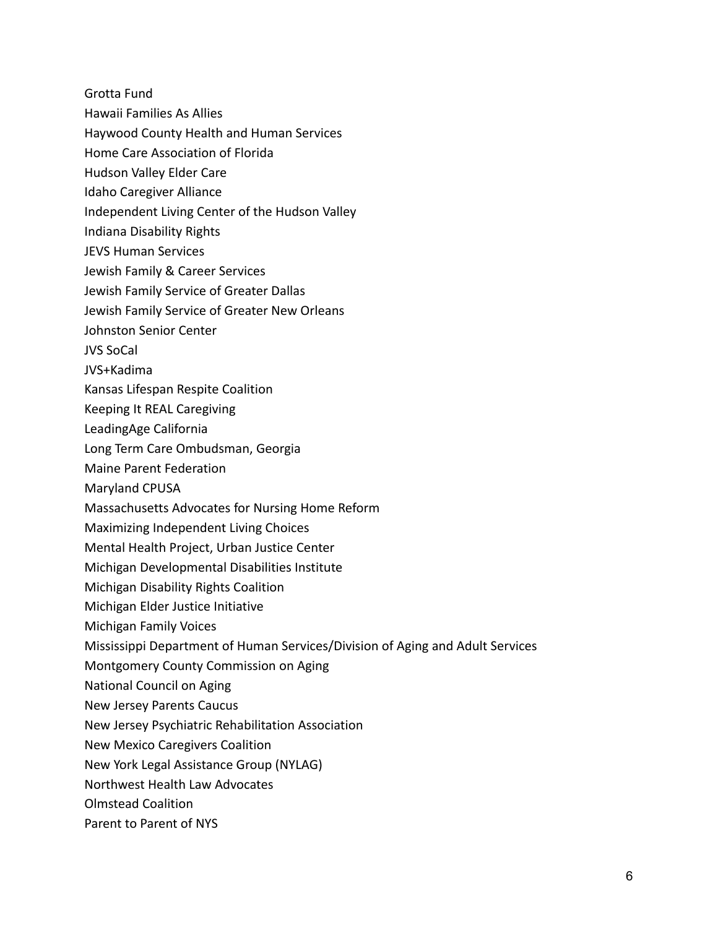Grotta Fund

- Hawaii Families As Allies
- Haywood County Health and Human Services
- Home Care Association of Florida
- Hudson Valley Elder Care
- Idaho Caregiver Alliance
- Independent Living Center of the Hudson Valley
- Indiana Disability Rights
- JEVS Human Services
- Jewish Family & Career Services
- Jewish Family Service of Greater Dallas
- Jewish Family Service of Greater New Orleans
- Johnston Senior Center
- JVS SoCal
- JVS+Kadima
- Kansas Lifespan Respite Coalition
- Keeping It REAL Caregiving
- LeadingAge California
- Long Term Care Ombudsman, Georgia
- Maine Parent Federation
- Maryland CPUSA
- Massachusetts Advocates for Nursing Home Reform
- Maximizing Independent Living Choices
- Mental Health Project, Urban Justice Center
- Michigan Developmental Disabilities Institute
- Michigan Disability Rights Coalition
- Michigan Elder Justice Initiative
- Michigan Family Voices
- Mississippi Department of Human Services/Division of Aging and Adult Services
- Montgomery County Commission on Aging
- National Council on Aging
- New Jersey Parents Caucus
- New Jersey Psychiatric Rehabilitation Association
- New Mexico Caregivers Coalition
- New York Legal Assistance Group (NYLAG)
- Northwest Health Law Advocates
- Olmstead Coalition
- Parent to Parent of NYS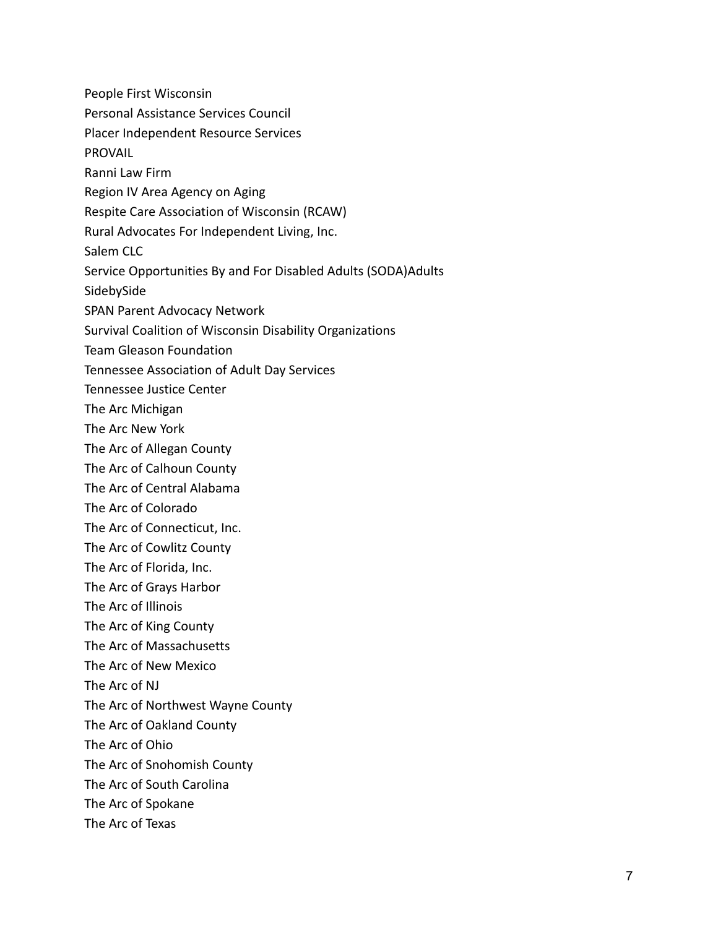People First Wisconsin Personal Assistance Services Council Placer Independent Resource Services PROVAIL Ranni Law Firm Region IV Area Agency on Aging Respite Care Association of Wisconsin (RCAW) Rural Advocates For Independent Living, Inc. Salem CLC Service Opportunities By and For Disabled Adults (SODA)Adults SidebySide SPAN Parent Advocacy Network Survival Coalition of Wisconsin Disability Organizations Team Gleason Foundation Tennessee Association of Adult Day Services Tennessee Justice Center The Arc Michigan The Arc New York The Arc of Allegan County The Arc of Calhoun County The Arc of Central Alabama The Arc of Colorado The Arc of Connecticut, Inc. The Arc of Cowlitz County The Arc of Florida, Inc. The Arc of Grays Harbor The Arc of Illinois The Arc of King County The Arc of Massachusetts The Arc of New Mexico The Arc of NJ The Arc of Northwest Wayne County The Arc of Oakland County The Arc of Ohio The Arc of Snohomish County The Arc of South Carolina The Arc of Spokane The Arc of Texas